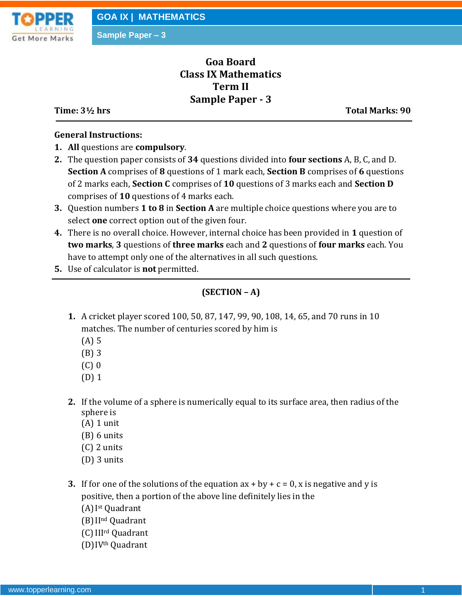

**Sample Paper – 3**

# **Goa Board Class IX Mathematics Term II Sample Paper - 3**

**Time: 3½ hrs** Total Marks: 90

#### **General Instructions:**

- **1. All** questions are **compulsory**.
- **2.** The question paper consists of **34** questions divided into **four sections** A, B, C, and D. **Section A** comprises of **8** questions of 1 mark each, **Section B** comprises of **6** questions of 2 marks each, **Section C** comprises of **10** questions of 3 marks each and **Section D** comprises of **10** questions of 4 marks each.
- **3.** Question numbers **1 to 8** in **Section A** are multiple choice questions where you are to select **one** correct option out of the given four.
- **4.** There is no overall choice. However, internal choice has been provided in **1** question of **two marks**, **3** questions of **three marks** each and **2** questions of **four marks** each. You have to attempt only one of the alternatives in all such questions.
- **5.** Use of calculator is **not** permitted.

# **(SECTION – A)**

- **1.** A cricket player scored 100, 50, 87, 147, 99, 90, 108, 14, 65, and 70 runs in 10 matches. The number of centuries scored by him is
	- (A) 5
	- (B) 3
	- (C) 0
	- (D) 1
- **2.** If the volume of a sphere is numerically equal to its surface area, then radius of the sphere is
	- (A) 1 unit
	- (B) 6 units
	- (C) 2 units
	- (D) 3 units
- **3.** If for one of the solutions of the equation  $ax + by + c = 0$ , x is negative and y is positive, then a portion of the above line definitely lies in the
	- (A)I st Quadrant
	- (B)IInd Quadrant
	- (C)IIIrd Quadrant
	- (D)IVth Quadrant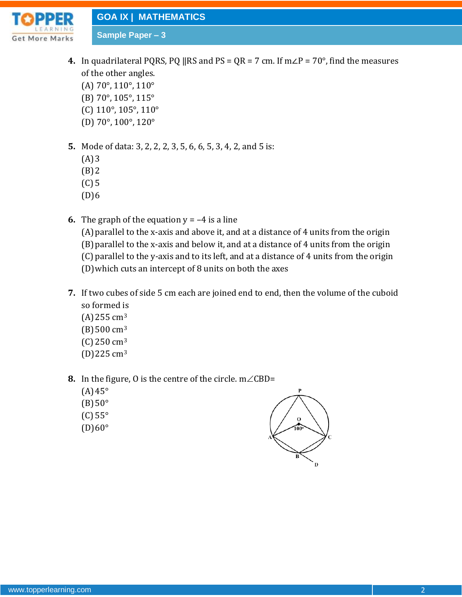**GOA IX | MATHEMATICS**

t More Marks

- **4.** In quadrilateral PQRS, PQ ||RS and PS =  $QR = 7$  cm. If  $m\angle P = 70^{\circ}$ , find the measures of the other angles. (A) 70°, 110°, 110° (B) 70°, 105°, 115°
	- (C) 110°, 105°, 110°

**Sample Paper – 3**

- (D) 70°, 100°, 120°
- **5.** Mode of data: 3, 2, 2, 2, 3, 5, 6, 6, 5, 3, 4, 2, and 5 is:
	- $(A)3$
	- $(B)$  2
	- (C) 5
	- $(D)6$
- **6.** The graph of the equation  $y = -4$  is a line (A)parallel to the x-axis and above it, and at a distance of 4 units from the origin (B)parallel to the x-axis and below it, and at a distance of 4 units from the origin (C) parallel to the y-axis and to its left, and at a distance of 4 units from the origin (D)which cuts an intercept of 8 units on both the axes
- **7.** If two cubes of side 5 cm each are joined end to end, then the volume of the cuboid so formed is
	- (A)255 cm<sup>3</sup>
	- $(B)500 \text{ cm}^3$
	- (C) 250 cm<sup>3</sup>
	- (D)225 cm<sup>3</sup>
- **8.** In the figure, 0 is the centre of the circle.  $m \angle$ CBD=
	- $(A)45^\circ$
	- $(B)50^\circ$
	- (C) 55°
	- $(D)60^\circ$

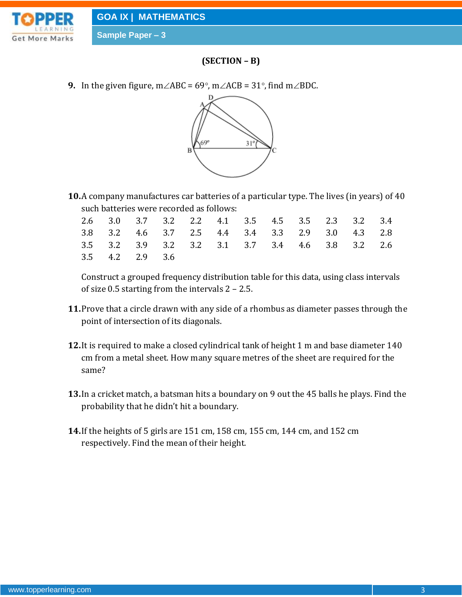



### **(SECTION – B)**

**9.** In the given figure,  $m\angle ABC = 69^\circ$ ,  $m\angle ACB = 31^\circ$ , find  $m\angle BDC$ .



**10.**A company manufactures car batteries of a particular type. The lives (in years) of 40 such batteries were recorded as follows:

|                 |  |  | 2.6 3.0 3.7 3.2 2.2 4.1 3.5 4.5 3.5 2.3 3.2 3.4 |  |  |  |
|-----------------|--|--|-------------------------------------------------|--|--|--|
|                 |  |  | 3.8 3.2 4.6 3.7 2.5 4.4 3.4 3.3 2.9 3.0 4.3 2.8 |  |  |  |
|                 |  |  | 3.5 3.2 3.9 3.2 3.2 3.1 3.7 3.4 4.6 3.8 3.2 2.6 |  |  |  |
| 3.5 4.2 2.9 3.6 |  |  |                                                 |  |  |  |

Construct a grouped frequency distribution table for this data, using class intervals of size 0.5 starting from the intervals 2 – 2.5.

- **11.**Prove that a circle drawn with any side of a rhombus as diameter passes through the point of intersection of its diagonals.
- **12.**It is required to make a closed cylindrical tank of height 1 m and base diameter 140 cm from a metal sheet. How many square metres of the sheet are required for the same?
- **13.**In a cricket match, a batsman hits a boundary on 9 out the 45 balls he plays. Find the probability that he didn't hit a boundary.
- **14.**If the heights of 5 girls are 151 cm, 158 cm, 155 cm, 144 cm, and 152 cm respectively. Find the mean of their height.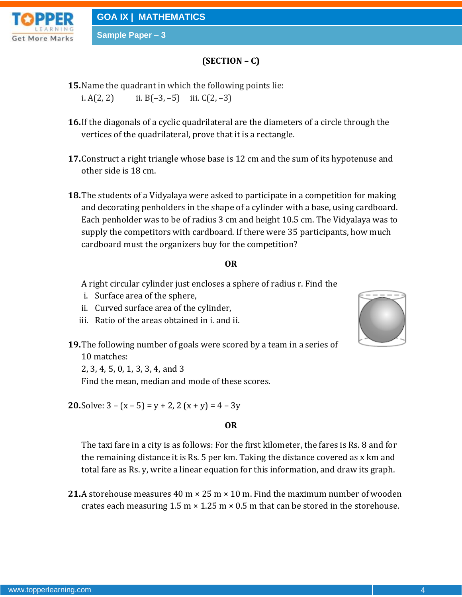**Sample Paper – 3**



# **(SECTION – C)**

- **15.**Name the quadrant in which the following points lie: i.  $A(2, 2)$  ii.  $B(-3, -5)$  iii.  $C(2, -3)$
- **16.**If the diagonals of a cyclic quadrilateral are the diameters of a circle through the vertices of the quadrilateral, prove that it is a rectangle.
- **17.**Construct a right triangle whose base is 12 cm and the sum of its hypotenuse and other side is 18 cm.
- **18.**The students of a Vidyalaya were asked to participate in a competition for making and decorating penholders in the shape of a cylinder with a base, using cardboard. Each penholder was to be of radius 3 cm and height 10.5 cm. The Vidyalaya was to supply the competitors with cardboard. If there were 35 participants, how much cardboard must the organizers buy for the competition?

#### **OR**

A right circular cylinder just encloses a sphere of radius r. Find the

- i. Surface area of the sphere,
- ii. Curved surface area of the cylinder,
- iii. Ratio of the areas obtained in i. and ii.
- **19.**The following number of goals were scored by a team in a series of 10 matches:

2, 3, 4, 5, 0, 1, 3, 3, 4, and 3

Find the mean, median and mode of these scores.

**20.**Solve:  $3 - (x - 5) = y + 2$ ,  $2 (x + y) = 4 - 3y$ 

#### **OR**

The taxi fare in a city is as follows: For the first kilometer, the fares is Rs. 8 and for the remaining distance it is Rs. 5 per km. Taking the distance covered as x km and total fare as Rs. y, write a linear equation for this information, and draw its graph.

**21.**A storehouse measures 40 m × 25 m × 10 m. Find the maximum number of wooden crates each measuring  $1.5 \text{ m} \times 1.25 \text{ m} \times 0.5 \text{ m}$  that can be stored in the storehouse.

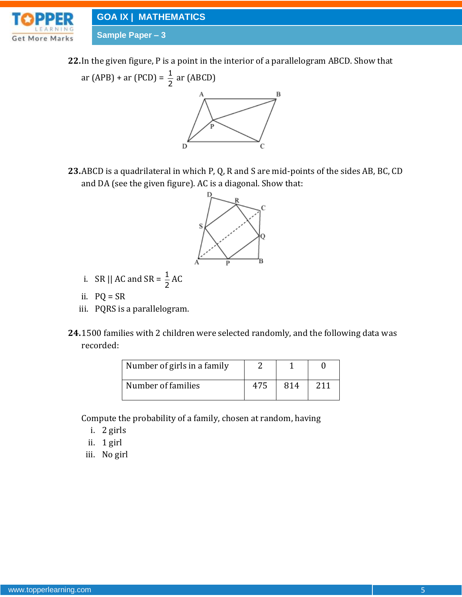

**GOA IX | MATHEMATICS**

**Sample Paper – 3**

**22.**In the given figure, P is a point in the interior of a parallelogram ABCD. Show that



**23.**ABCD is a quadrilateral in which P, Q, R and S are mid-points of the sides AB, BC, CD and DA (see the given figure). AC is a diagonal. Show that:



- i. SR || AC and SR =  $\frac{1}{2}$  $\frac{1}{2}$ AC
- ii.  $PQ = SR$
- iii. PQRS is a parallelogram.
- **24.**1500 families with 2 children were selected randomly, and the following data was recorded:

| Number of girls in a family |     |     |     |
|-----------------------------|-----|-----|-----|
| Number of families          | 475 | 814 | 211 |

Compute the probability of a family, chosen at random, having

- i. 2 girls
- ii. 1 girl
- iii. No girl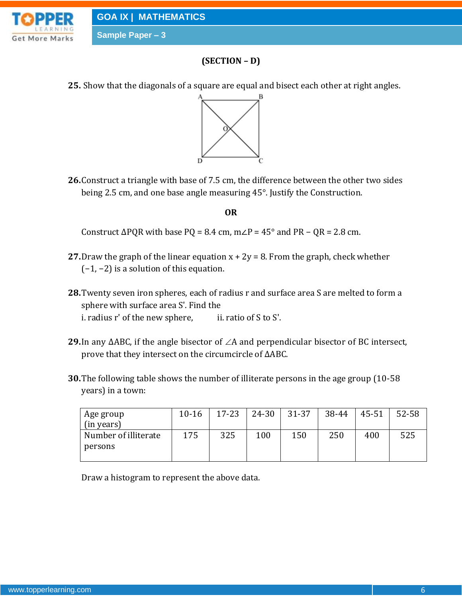



# **(SECTION – D)**

**25.** Show that the diagonals of a square are equal and bisect each other at right angles.



**26.**Construct a triangle with base of 7.5 cm, the difference between the other two sides being 2.5 cm, and one base angle measuring 45°. Justify the Construction.

#### **OR**

Construct  $\triangle PQR$  with base PQ = 8.4 cm, m∠P = 45° and PR – QR = 2.8 cm.

- **27.** Draw the graph of the linear equation  $x + 2y = 8$ . From the graph, check whether (−1, −2) is a solution of this equation.
- **28.**Twenty seven iron spheres, each of radius r and surface area S are melted to form a sphere with surface area S'. Find the i. radius  $r'$  of the new sphere, ii. ratio of S to S'.
- 29. In any ∆ABC, if the angle bisector of ∠A and perpendicular bisector of BC intersect, prove that they intersect on the circumcircle of ∆ABC.
- **30.**The following table shows the number of illiterate persons in the age group (10-58 years) in a town:

| Age group            | $10 - 16$ | $17 - 23$ | 24-30 | 31-37 | 38-44 | 45-51 | 52-58 |
|----------------------|-----------|-----------|-------|-------|-------|-------|-------|
| (in years)           |           |           |       |       |       |       |       |
| Number of illiterate | 175       | 325       | 100   | 150   | 250   | 400   | 525   |
| persons              |           |           |       |       |       |       |       |
|                      |           |           |       |       |       |       |       |

Draw a histogram to represent the above data.